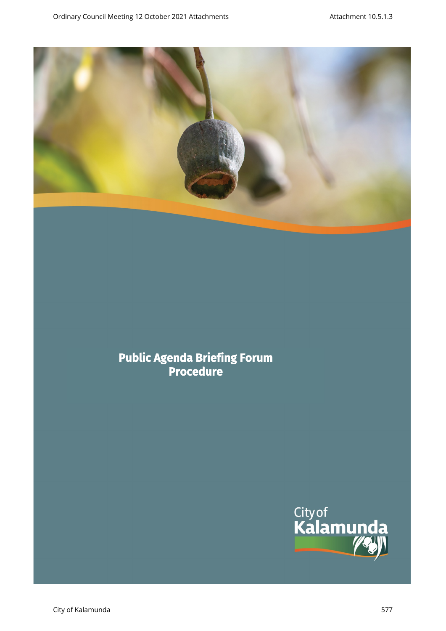

# **Public Agenda Briefing Forum Procedure**

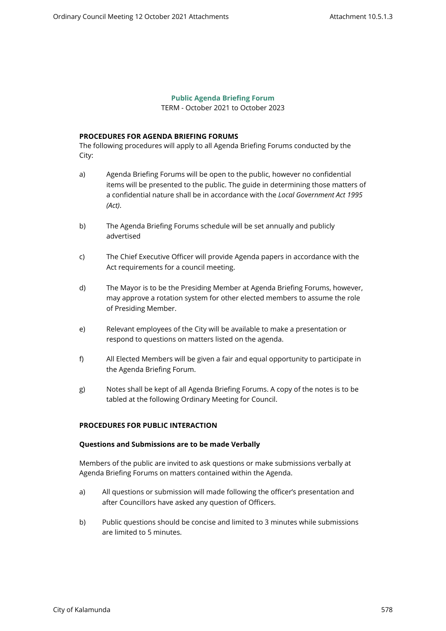### **Public Agenda Briefing Forum**

TERM - October 2021 to October 2023

## **PROCEDURES FOR AGENDA BRIEFING FORUMS**

The following procedures will apply to all Agenda Briefing Forums conducted by the City:

- a) Agenda Briefing Forums will be open to the public, however no confidential items will be presented to the public. The guide in determining those matters of a confidential nature shall be in accordance with the *Local Government Act 1995 (Act)*.
- b) The Agenda Briefing Forums schedule will be set annually and publicly advertised
- c) The Chief Executive Officer will provide Agenda papers in accordance with the Act requirements for a council meeting.
- d) The Mayor is to be the Presiding Member at Agenda Briefing Forums, however, may approve a rotation system for other elected members to assume the role of Presiding Member.
- e) Relevant employees of the City will be available to make a presentation or respond to questions on matters listed on the agenda.
- f) All Elected Members will be given a fair and equal opportunity to participate in the Agenda Briefing Forum.
- g) Notes shall be kept of all Agenda Briefing Forums. A copy of the notes is to be tabled at the following Ordinary Meeting for Council.

#### **PROCEDURES FOR PUBLIC INTERACTION**

#### **Questions and Submissions are to be made Verbally**

Members of the public are invited to ask questions or make submissions verbally at Agenda Briefing Forums on matters contained within the Agenda.

- a) All questions or submission will made following the officer's presentation and after Councillors have asked any question of Officers.
- b) Public questions should be concise and limited to 3 minutes while submissions are limited to 5 minutes.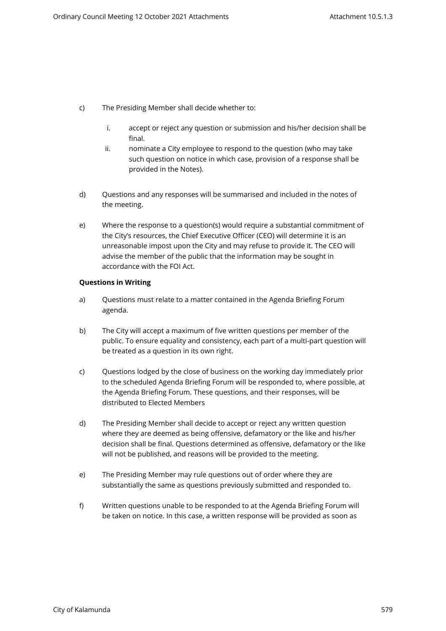- c) The Presiding Member shall decide whether to:
	- i. accept or reject any question or submission and his/her decision shall be final.
	- ii. nominate a City employee to respond to the question (who may take such question on notice in which case, provision of a response shall be provided in the Notes).
- d) Questions and any responses will be summarised and included in the notes of the meeting.
- e) Where the response to a question(s) would require a substantial commitment of the City's resources, the Chief Executive Officer (CEO) will determine it is an unreasonable impost upon the City and may refuse to provide it. The CEO will advise the member of the public that the information may be sought in accordance with the FOI Act.

#### **Questions in Writing**

- a) Questions must relate to a matter contained in the Agenda Briefing Forum agenda.
- b) The City will accept a maximum of five written questions per member of the public. To ensure equality and consistency, each part of a multi-part question will be treated as a question in its own right.
- c) Questions lodged by the close of business on the working day immediately prior to the scheduled Agenda Briefing Forum will be responded to, where possible, at the Agenda Briefing Forum. These questions, and their responses, will be distributed to Elected Members
- d) The Presiding Member shall decide to accept or reject any written question where they are deemed as being offensive, defamatory or the like and his/her decision shall be final. Questions determined as offensive, defamatory or the like will not be published, and reasons will be provided to the meeting.
- e) The Presiding Member may rule questions out of order where they are substantially the same as questions previously submitted and responded to.
- f) Written questions unable to be responded to at the Agenda Briefing Forum will be taken on notice. In this case, a written response will be provided as soon as